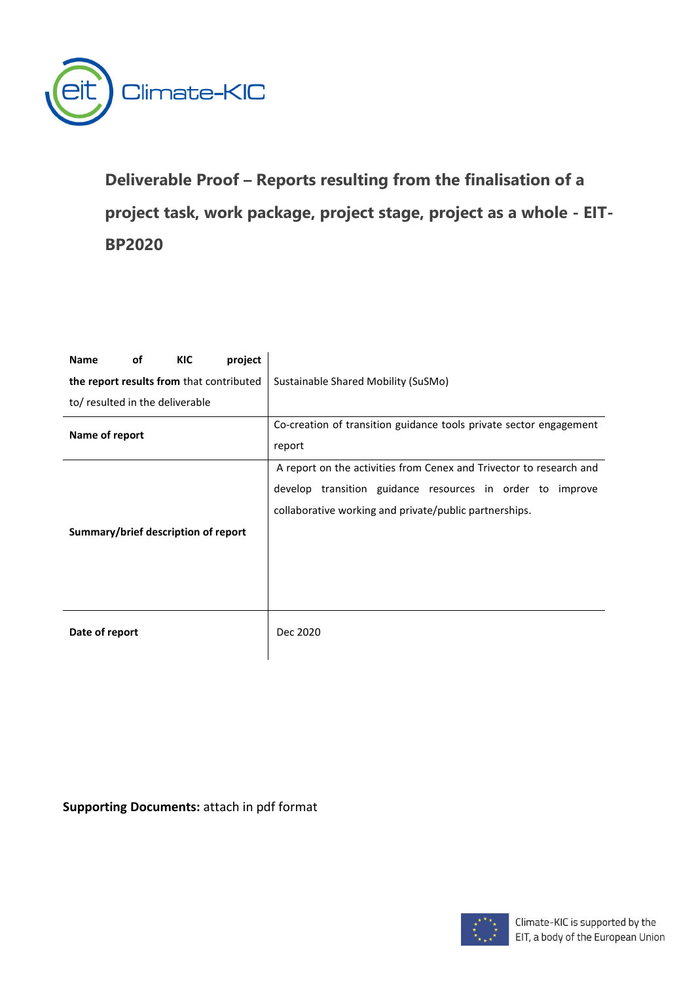

<span id="page-0-0"></span>**Deliverable Proof – Reports resulting from the finalisation of a project task, work package, project stage, project as a whole - EIT-BP2020**

| project<br><b>KIC</b><br><b>Name</b><br>οf |                                                                     |
|--------------------------------------------|---------------------------------------------------------------------|
| the report results from that contributed   | Sustainable Shared Mobility (SuSMo)                                 |
| to/ resulted in the deliverable            |                                                                     |
| Name of report                             | Co-creation of transition guidance tools private sector engagement  |
|                                            | report                                                              |
|                                            | A report on the activities from Cenex and Trivector to research and |
|                                            | develop transition guidance resources in order to improve           |
|                                            | collaborative working and private/public partnerships.              |
| Summary/brief description of report        |                                                                     |
|                                            |                                                                     |
|                                            |                                                                     |
|                                            |                                                                     |
|                                            |                                                                     |
| Date of report                             | Dec 2020                                                            |
|                                            |                                                                     |

**Supporting Documents:** attach in pdf format

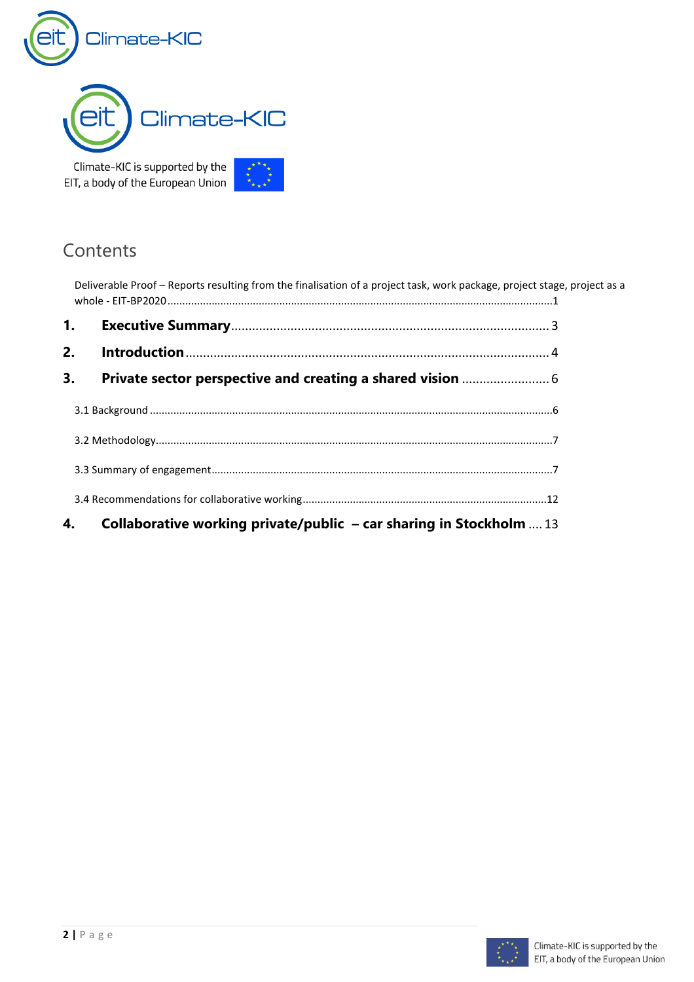



Climate-KIC is supported by the EIT, a body of the European Union



| Deliverable Proof - Reports resulting from the finalisation of a project task, work package, project stage, project as a |                                                                           |  |
|--------------------------------------------------------------------------------------------------------------------------|---------------------------------------------------------------------------|--|
| $\mathbf{1}$ .                                                                                                           |                                                                           |  |
| 2.                                                                                                                       |                                                                           |  |
| 3.                                                                                                                       |                                                                           |  |
|                                                                                                                          |                                                                           |  |
|                                                                                                                          |                                                                           |  |
|                                                                                                                          |                                                                           |  |
|                                                                                                                          |                                                                           |  |
| 4.                                                                                                                       | <b>Collaborative working private/public - car sharing in Stockholm</b> 13 |  |

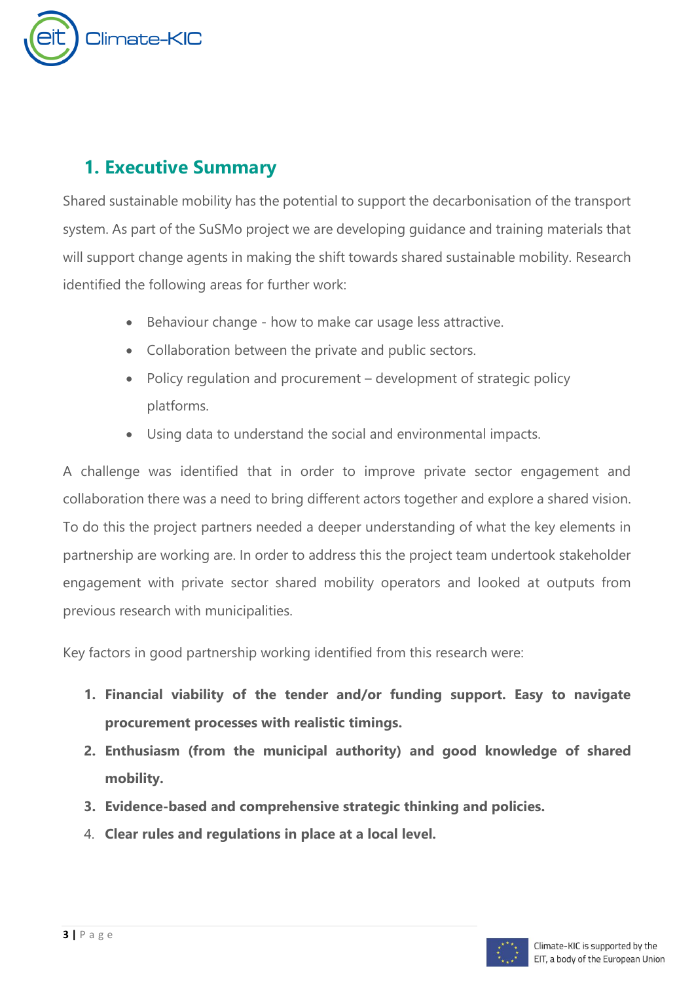

# <span id="page-2-0"></span>**1. Executive Summary**

Shared sustainable mobility has the potential to support the decarbonisation of the transport system. As part of the SuSMo project we are developing guidance and training materials that will support change agents in making the shift towards shared sustainable mobility. Research identified the following areas for further work:

- Behaviour change how to make car usage less attractive.
- Collaboration between the private and public sectors.
- Policy regulation and procurement development of strategic policy platforms.
- Using data to understand the social and environmental impacts.

A challenge was identified that in order to improve private sector engagement and collaboration there was a need to bring different actors together and explore a shared vision. To do this the project partners needed a deeper understanding of what the key elements in partnership are working are. In order to address this the project team undertook stakeholder engagement with private sector shared mobility operators and looked at outputs from previous research with municipalities.

Key factors in good partnership working identified from this research were:

- **1. Financial viability of the tender and/or funding support. Easy to navigate procurement processes with realistic timings.**
- **2. Enthusiasm (from the municipal authority) and good knowledge of shared mobility.**
- **3. Evidence-based and comprehensive strategic thinking and policies.**
- 4. **Clear rules and regulations in place at a local level.**

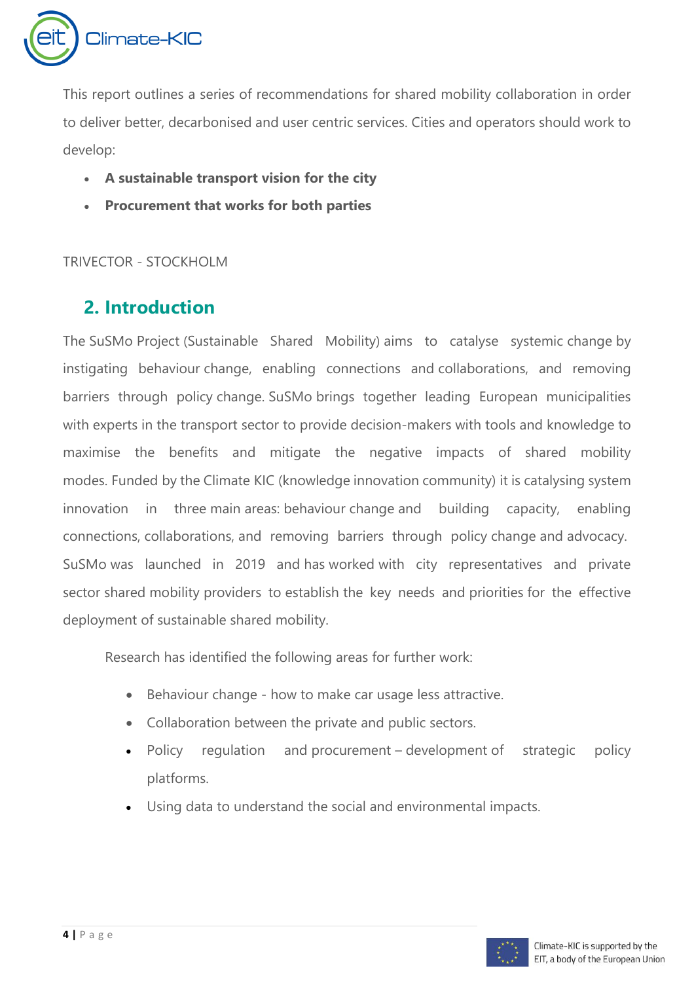

This report outlines a series of recommendations for shared mobility collaboration in order to deliver better, decarbonised and user centric services. Cities and operators should work to develop:

- **A sustainable transport vision for the city**
- **Procurement that works for both parties**

<span id="page-3-0"></span>TRIVECTOR - STOCKHOLM

# **2. Introduction**

The SuSMo Project (Sustainable Shared Mobility) aims to catalyse systemic change by instigating behaviour change, enabling connections and collaborations, and removing barriers through policy change. SuSMo brings together leading European municipalities with experts in the transport sector to provide decision-makers with tools and knowledge to maximise the benefits and mitigate the negative impacts of shared mobility modes. Funded by the Climate KIC (knowledge innovation community) it is catalysing system innovation in three main areas: behaviour change and building capacity, enabling connections, collaborations, and removing barriers through policy change and advocacy. SuSMo was launched in 2019 and has worked with city representatives and private sector shared mobility providers to establish the key needs and priorities for the effective deployment of sustainable shared mobility.

Research has identified the following areas for further work:

- Behaviour change how to make car usage less attractive.
- Collaboration between the private and public sectors.
- Policy regulation and procurement development of strategic policy platforms.
- Using data to understand the social and environmental impacts.

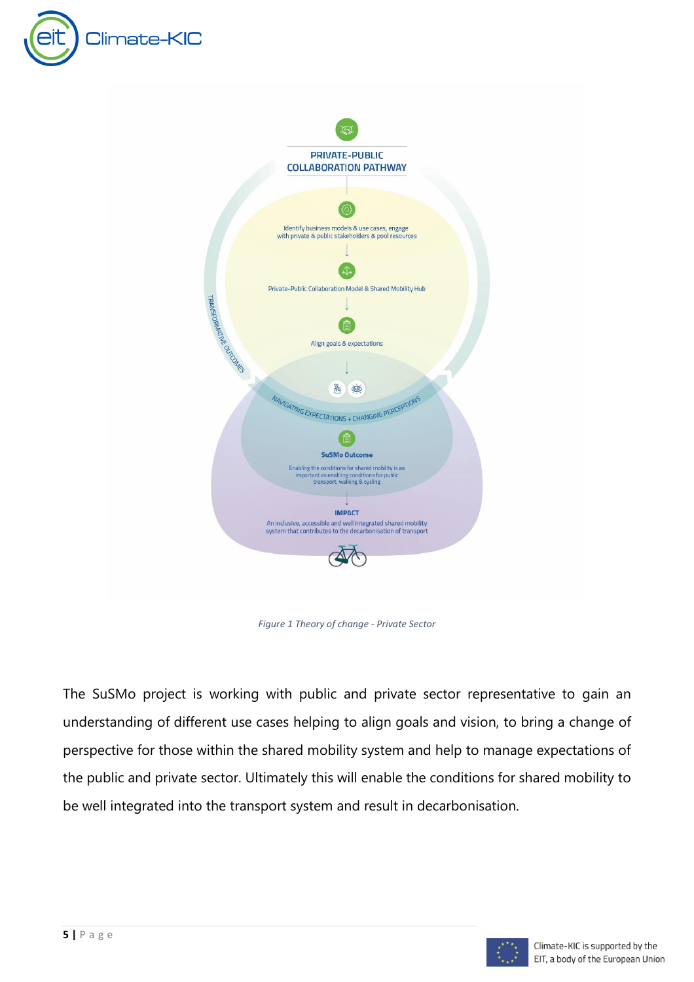



*Figure 1 Theory of change - Private Sector*

The SuSMo project is working with public and private sector representative to gain an understanding of different use cases helping to align goals and vision, to bring a change of perspective for those within the shared mobility system and help to manage expectations of the public and private sector. Ultimately this will enable the conditions for shared mobility to be well integrated into the transport system and result in decarbonisation.

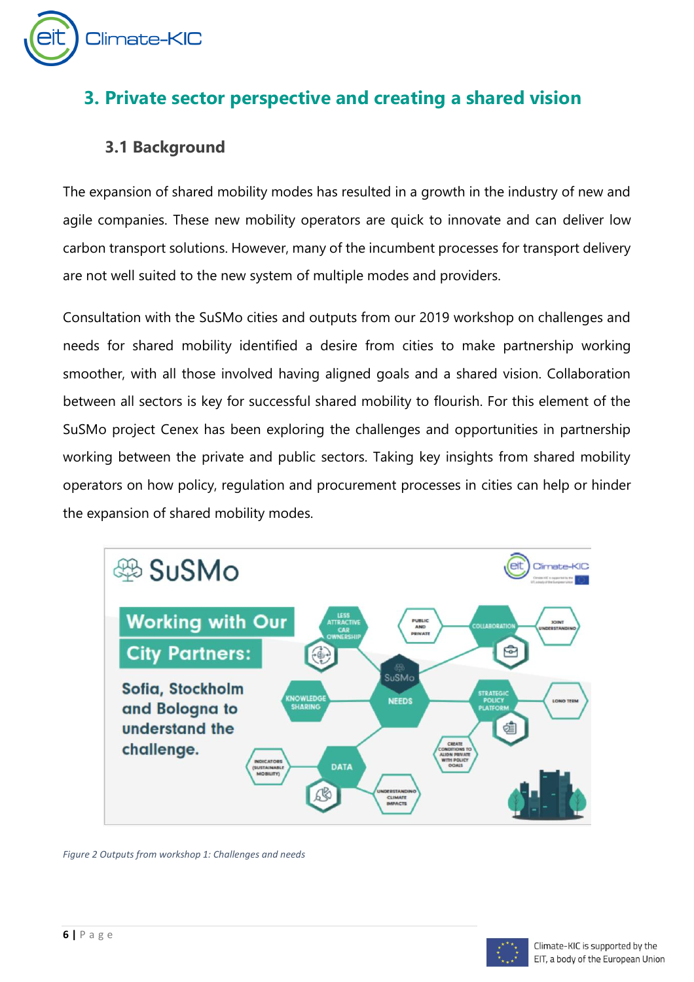

# <span id="page-5-0"></span>**3. Private sector perspective and creating a shared vision**

## <span id="page-5-1"></span>**3.1 Background**

The expansion of shared mobility modes has resulted in a growth in the industry of new and agile companies. These new mobility operators are quick to innovate and can deliver low carbon transport solutions. However, many of the incumbent processes for transport delivery are not well suited to the new system of multiple modes and providers.

Consultation with the SuSMo cities and outputs from our 2019 workshop on challenges and needs for shared mobility identified a desire from cities to make partnership working smoother, with all those involved having aligned goals and a shared vision. Collaboration between all sectors is key for successful shared mobility to flourish. For this element of the SuSMo project Cenex has been exploring the challenges and opportunities in partnership working between the private and public sectors. Taking key insights from shared mobility operators on how policy, regulation and procurement processes in cities can help or hinder the expansion of shared mobility modes.



*Figure 2 Outputs from workshop 1: Challenges and needs*

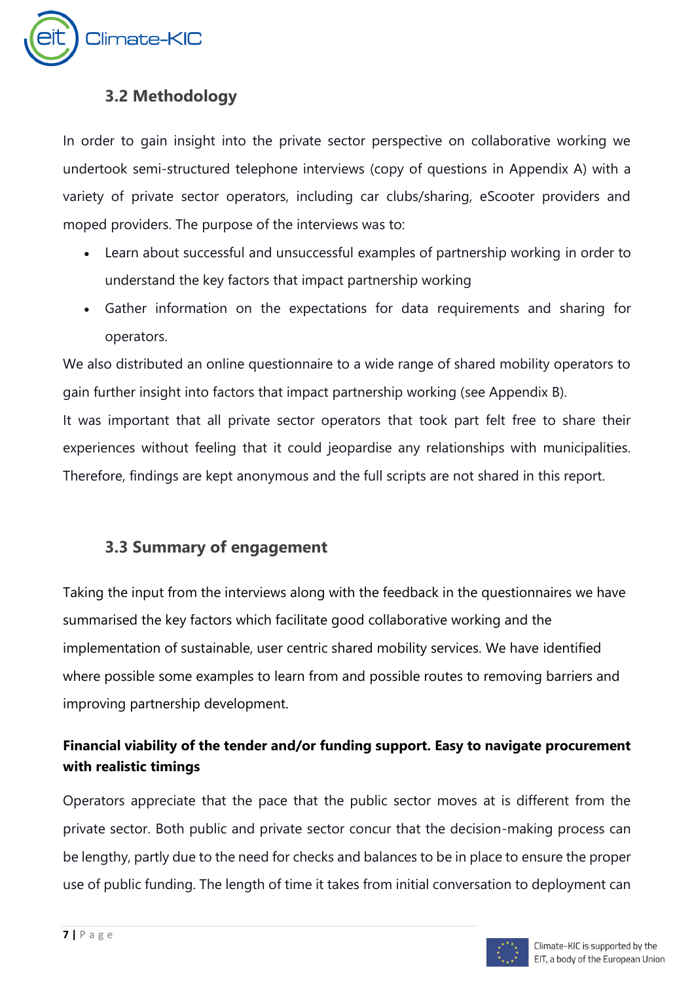

## <span id="page-6-0"></span>**3.2 Methodology**

In order to gain insight into the private sector perspective on collaborative working we undertook semi-structured telephone interviews (copy of questions in Appendix A) with a variety of private sector operators, including car clubs/sharing, eScooter providers and moped providers. The purpose of the interviews was to:

- Learn about successful and unsuccessful examples of partnership working in order to understand the key factors that impact partnership working
- Gather information on the expectations for data requirements and sharing for operators.

We also distributed an online questionnaire to a wide range of shared mobility operators to gain further insight into factors that impact partnership working (see Appendix B).

It was important that all private sector operators that took part felt free to share their experiences without feeling that it could jeopardise any relationships with municipalities. Therefore, findings are kept anonymous and the full scripts are not shared in this report.

# <span id="page-6-1"></span>**3.3 Summary of engagement**

Taking the input from the interviews along with the feedback in the questionnaires we have summarised the key factors which facilitate good collaborative working and the implementation of sustainable, user centric shared mobility services. We have identified where possible some examples to learn from and possible routes to removing barriers and improving partnership development.

## **Financial viability of the tender and/or funding support. Easy to navigate procurement with realistic timings**

Operators appreciate that the pace that the public sector moves at is different from the private sector. Both public and private sector concur that the decision-making process can be lengthy, partly due to the need for checks and balances to be in place to ensure the proper use of public funding. The length of time it takes from initial conversation to deployment can

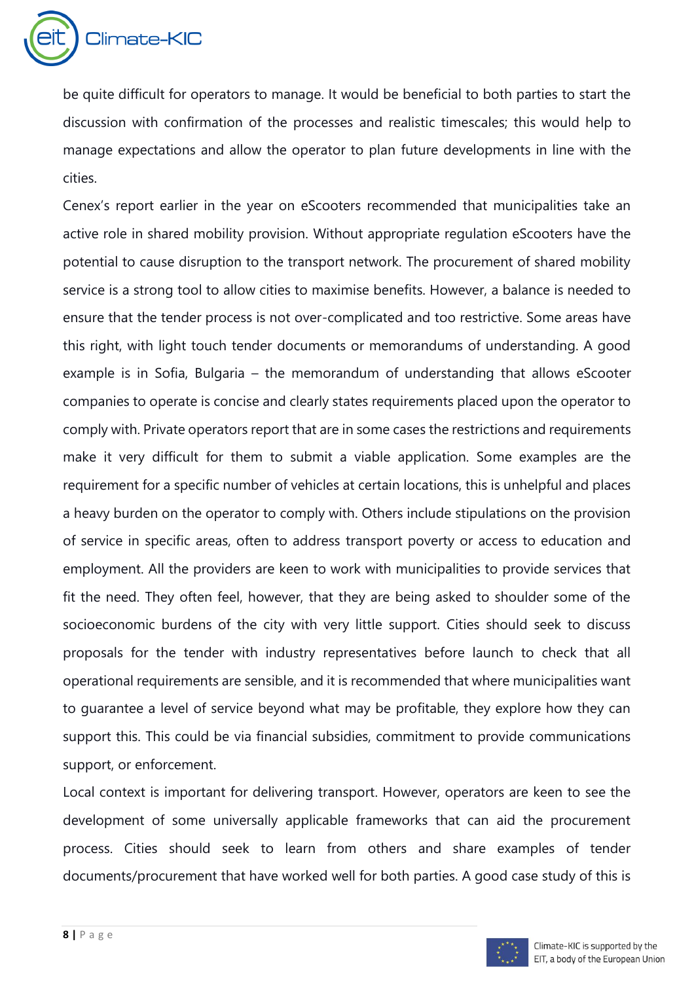

be quite difficult for operators to manage. It would be beneficial to both parties to start the discussion with confirmation of the processes and realistic timescales; this would help to manage expectations and allow the operator to plan future developments in line with the cities.

Cenex's report earlier in the year on eScooters recommended that municipalities take an active role in shared mobility provision. Without appropriate regulation eScooters have the potential to cause disruption to the transport network. The procurement of shared mobility service is a strong tool to allow cities to maximise benefits. However, a balance is needed to ensure that the tender process is not over-complicated and too restrictive. Some areas have this right, with light touch tender documents or memorandums of understanding. A good example is in Sofia, Bulgaria – the memorandum of understanding that allows eScooter companies to operate is concise and clearly states requirements placed upon the operator to comply with. Private operators report that are in some cases the restrictions and requirements make it very difficult for them to submit a viable application. Some examples are the requirement for a specific number of vehicles at certain locations, this is unhelpful and places a heavy burden on the operator to comply with. Others include stipulations on the provision of service in specific areas, often to address transport poverty or access to education and employment. All the providers are keen to work with municipalities to provide services that fit the need. They often feel, however, that they are being asked to shoulder some of the socioeconomic burdens of the city with very little support. Cities should seek to discuss proposals for the tender with industry representatives before launch to check that all operational requirements are sensible, and it is recommended that where municipalities want to guarantee a level of service beyond what may be profitable, they explore how they can support this. This could be via financial subsidies, commitment to provide communications support, or enforcement.

Local context is important for delivering transport. However, operators are keen to see the development of some universally applicable frameworks that can aid the procurement process. Cities should seek to learn from others and share examples of tender documents/procurement that have worked well for both parties. A good case study of this is

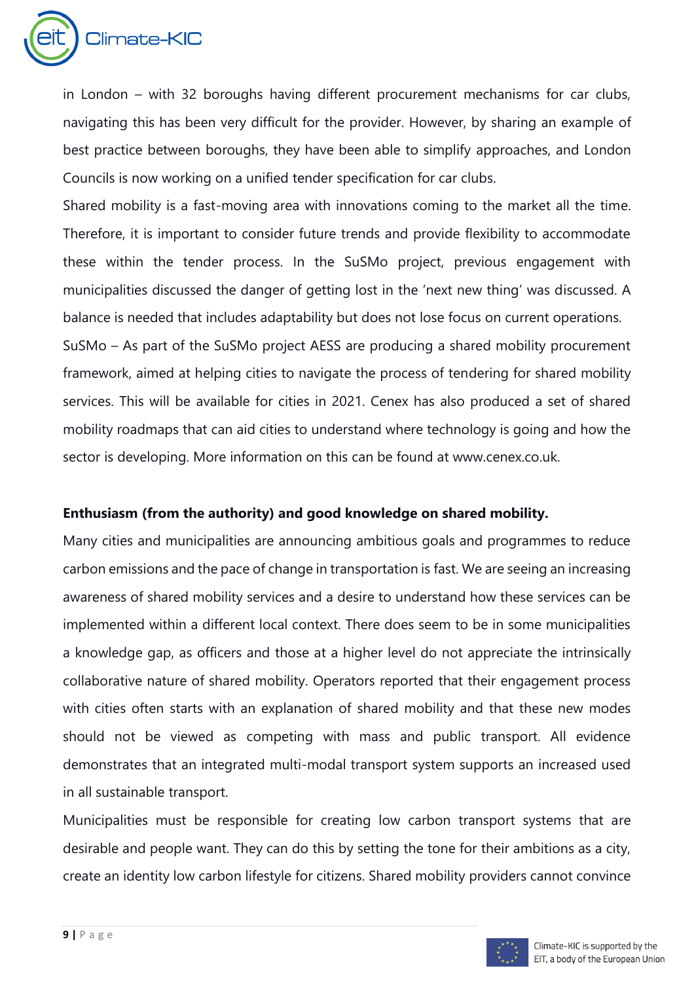

in London – with 32 boroughs having different procurement mechanisms for car clubs, navigating this has been very difficult for the provider. However, by sharing an example of best practice between boroughs, they have been able to simplify approaches, and London Councils is now working on a unified tender specification for car clubs.

Shared mobility is a fast-moving area with innovations coming to the market all the time. Therefore, it is important to consider future trends and provide flexibility to accommodate these within the tender process. In the SuSMo project, previous engagement with municipalities discussed the danger of getting lost in the 'next new thing' was discussed. A balance is needed that includes adaptability but does not lose focus on current operations.

SuSMo – As part of the SuSMo project AESS are producing a shared mobility procurement framework, aimed at helping cities to navigate the process of tendering for shared mobility services. This will be available for cities in 2021. Cenex has also produced a set of shared mobility roadmaps that can aid cities to understand where technology is going and how the sector is developing. More information on this can be found at www.cenex.co.uk.

#### **Enthusiasm (from the authority) and good knowledge on shared mobility.**

Many cities and municipalities are announcing ambitious goals and programmes to reduce carbon emissions and the pace of change in transportation is fast. We are seeing an increasing awareness of shared mobility services and a desire to understand how these services can be implemented within a different local context. There does seem to be in some municipalities a knowledge gap, as officers and those at a higher level do not appreciate the intrinsically collaborative nature of shared mobility. Operators reported that their engagement process with cities often starts with an explanation of shared mobility and that these new modes should not be viewed as competing with mass and public transport. All evidence demonstrates that an integrated multi-modal transport system supports an increased used in all sustainable transport.

Municipalities must be responsible for creating low carbon transport systems that are desirable and people want. They can do this by setting the tone for their ambitions as a city, create an identity low carbon lifestyle for citizens. Shared mobility providers cannot convince

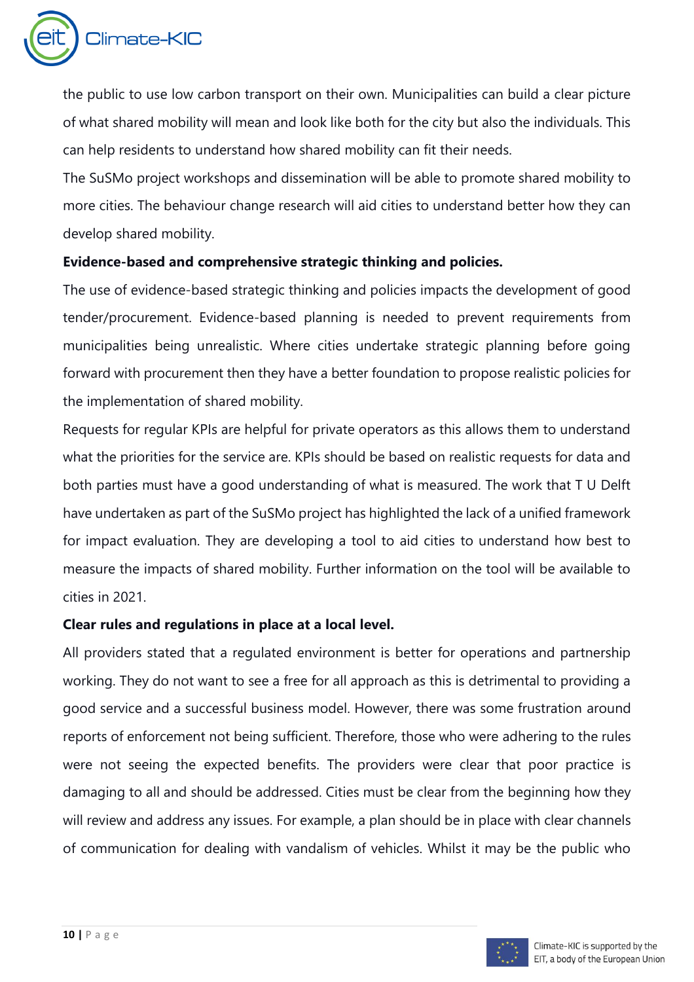

the public to use low carbon transport on their own. Municipalities can build a clear picture of what shared mobility will mean and look like both for the city but also the individuals. This can help residents to understand how shared mobility can fit their needs.

The SuSMo project workshops and dissemination will be able to promote shared mobility to more cities. The behaviour change research will aid cities to understand better how they can develop shared mobility.

#### **Evidence-based and comprehensive strategic thinking and policies.**

The use of evidence-based strategic thinking and policies impacts the development of good tender/procurement. Evidence-based planning is needed to prevent requirements from municipalities being unrealistic. Where cities undertake strategic planning before going forward with procurement then they have a better foundation to propose realistic policies for the implementation of shared mobility.

Requests for regular KPIs are helpful for private operators as this allows them to understand what the priorities for the service are. KPIs should be based on realistic requests for data and both parties must have a good understanding of what is measured. The work that T U Delft have undertaken as part of the SuSMo project has highlighted the lack of a unified framework for impact evaluation. They are developing a tool to aid cities to understand how best to measure the impacts of shared mobility. Further information on the tool will be available to cities in 2021.

#### **Clear rules and regulations in place at a local level.**

All providers stated that a regulated environment is better for operations and partnership working. They do not want to see a free for all approach as this is detrimental to providing a good service and a successful business model. However, there was some frustration around reports of enforcement not being sufficient. Therefore, those who were adhering to the rules were not seeing the expected benefits. The providers were clear that poor practice is damaging to all and should be addressed. Cities must be clear from the beginning how they will review and address any issues. For example, a plan should be in place with clear channels of communication for dealing with vandalism of vehicles. Whilst it may be the public who

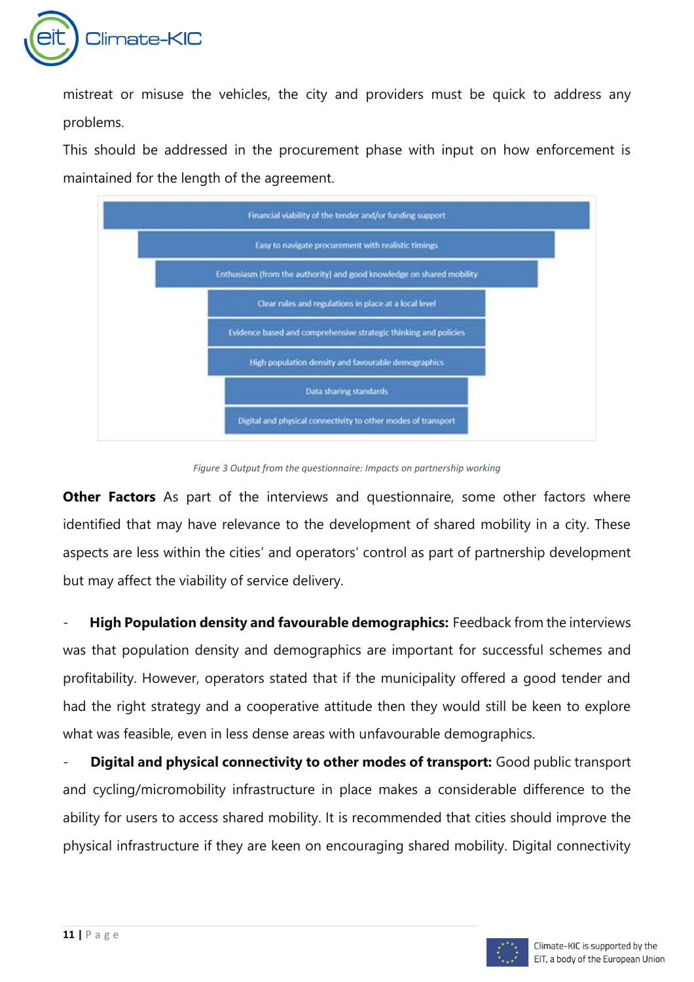

mistreat or misuse the vehicles, the city and providers must be quick to address any problems.

This should be addressed in the procurement phase with input on how enforcement is maintained for the length of the agreement.



*Figure 3 Output from the questionnaire: Impacts on partnership working*

**Other Factors** As part of the interviews and questionnaire, some other factors where identified that may have relevance to the development of shared mobility in a city. These aspects are less within the cities' and operators' control as part of partnership development but may affect the viability of service delivery.

- **High Population density and favourable demographics:** Feedback from the interviews was that population density and demographics are important for successful schemes and profitability. However, operators stated that if the municipality offered a good tender and had the right strategy and a cooperative attitude then they would still be keen to explore what was feasible, even in less dense areas with unfavourable demographics.

**Digital and physical connectivity to other modes of transport:** Good public transport and cycling/micromobility infrastructure in place makes a considerable difference to the ability for users to access shared mobility. It is recommended that cities should improve the physical infrastructure if they are keen on encouraging shared mobility. Digital connectivity

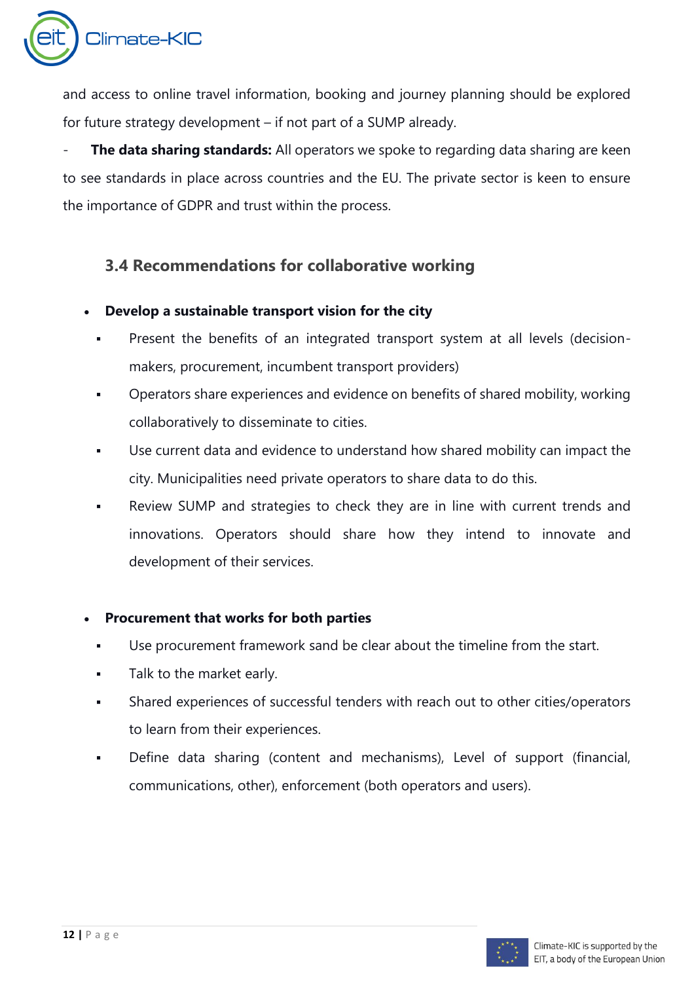

and access to online travel information, booking and journey planning should be explored for future strategy development – if not part of a SUMP already.

**The data sharing standards:** All operators we spoke to regarding data sharing are keen to see standards in place across countries and the EU. The private sector is keen to ensure the importance of GDPR and trust within the process.

## <span id="page-11-0"></span>**3.4 Recommendations for collaborative working**

- **Develop a sustainable transport vision for the city**
	- Present the benefits of an integrated transport system at all levels (decisionmakers, procurement, incumbent transport providers)
	- Operators share experiences and evidence on benefits of shared mobility, working collaboratively to disseminate to cities.
	- Use current data and evidence to understand how shared mobility can impact the city. Municipalities need private operators to share data to do this.
	- Review SUMP and strategies to check they are in line with current trends and innovations. Operators should share how they intend to innovate and development of their services.

### • **Procurement that works for both parties**

- Use procurement framework sand be clear about the timeline from the start.
- Talk to the market early.
- Shared experiences of successful tenders with reach out to other cities/operators to learn from their experiences.
- Define data sharing (content and mechanisms), Level of support (financial, communications, other), enforcement (both operators and users).

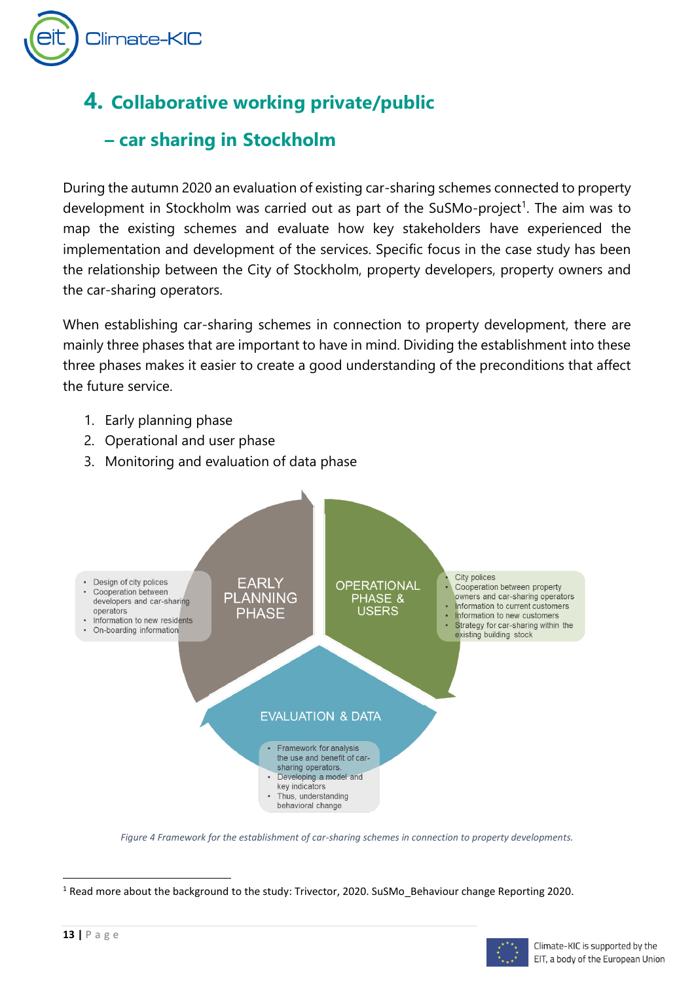

# <span id="page-12-0"></span>**4. Collaborative working private/public**

# **– car sharing in Stockholm**

During the autumn 2020 an evaluation of existing car-sharing schemes connected to property development in Stockholm was carried out as part of the SuSMo-project<sup>1</sup>. The aim was to map the existing schemes and evaluate how key stakeholders have experienced the implementation and development of the services. Specific focus in the case study has been the relationship between the City of Stockholm, property developers, property owners and the car-sharing operators.

When establishing car-sharing schemes in connection to property development, there are mainly three phases that are important to have in mind. Dividing the establishment into these three phases makes it easier to create a good understanding of the preconditions that affect the future service.

- 1. Early planning phase
- 2. Operational and user phase
- 3. Monitoring and evaluation of data phase



*Figure 4 Framework for the establishment of car-sharing schemes in connection to property developments.*

<sup>1</sup> Read more about the background to the study: Trivector, 2020. SuSMo\_Behaviour change Reporting 2020.

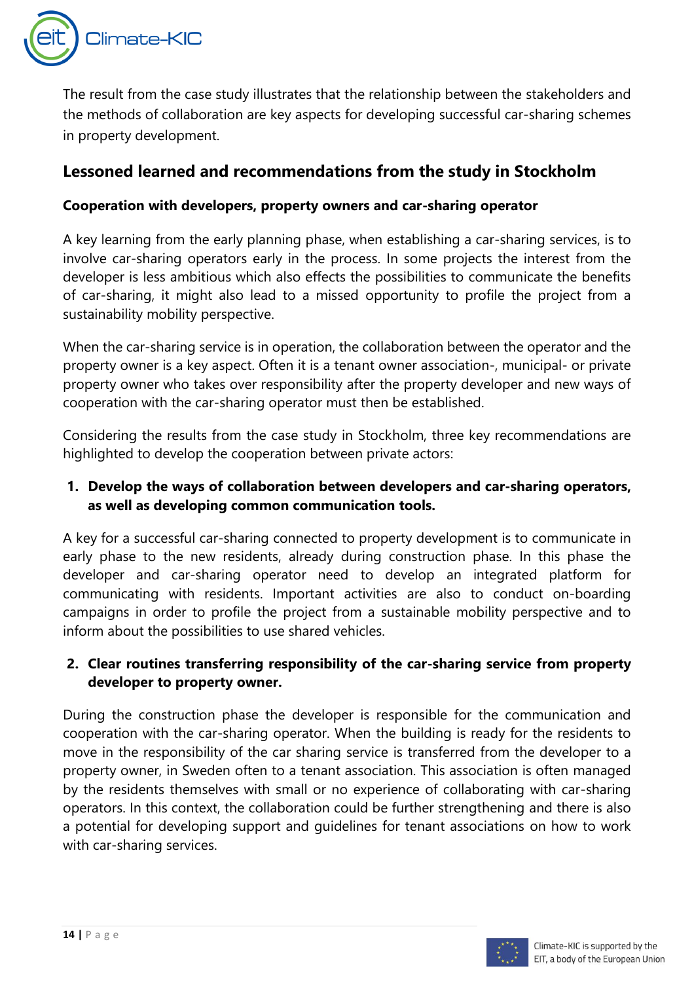

The result from the case study illustrates that the relationship between the stakeholders and the methods of collaboration are key aspects for developing successful car-sharing schemes in property development.

## **Lessoned learned and recommendations from the study in Stockholm**

### **Cooperation with developers, property owners and car-sharing operator**

A key learning from the early planning phase, when establishing a car-sharing services, is to involve car-sharing operators early in the process. In some projects the interest from the developer is less ambitious which also effects the possibilities to communicate the benefits of car-sharing, it might also lead to a missed opportunity to profile the project from a sustainability mobility perspective.

When the car-sharing service is in operation, the collaboration between the operator and the property owner is a key aspect. Often it is a tenant owner association-, municipal- or private property owner who takes over responsibility after the property developer and new ways of cooperation with the car-sharing operator must then be established.

Considering the results from the case study in Stockholm, three key recommendations are highlighted to develop the cooperation between private actors:

### **1. Develop the ways of collaboration between developers and car-sharing operators, as well as developing common communication tools.**

A key for a successful car-sharing connected to property development is to communicate in early phase to the new residents, already during construction phase. In this phase the developer and car-sharing operator need to develop an integrated platform for communicating with residents. Important activities are also to conduct on-boarding campaigns in order to profile the project from a sustainable mobility perspective and to inform about the possibilities to use shared vehicles.

### **2. Clear routines transferring responsibility of the car-sharing service from property developer to property owner.**

During the construction phase the developer is responsible for the communication and cooperation with the car-sharing operator. When the building is ready for the residents to move in the responsibility of the car sharing service is transferred from the developer to a property owner, in Sweden often to a tenant association. This association is often managed by the residents themselves with small or no experience of collaborating with car-sharing operators. In this context, the collaboration could be further strengthening and there is also a potential for developing support and guidelines for tenant associations on how to work with car-sharing services.

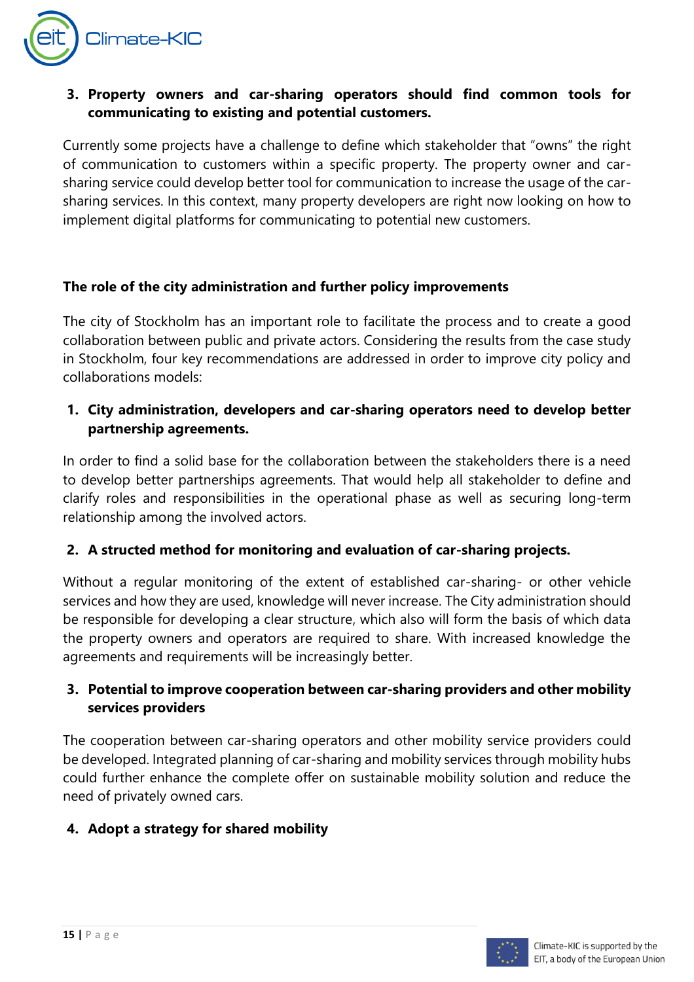

### **3. Property owners and car-sharing operators should find common tools for communicating to existing and potential customers.**

Currently some projects have a challenge to define which stakeholder that "owns" the right of communication to customers within a specific property. The property owner and carsharing service could develop better tool for communication to increase the usage of the carsharing services. In this context, many property developers are right now looking on how to implement digital platforms for communicating to potential new customers.

#### **The role of the city administration and further policy improvements**

The city of Stockholm has an important role to facilitate the process and to create a good collaboration between public and private actors. Considering the results from the case study in Stockholm, four key recommendations are addressed in order to improve city policy and collaborations models:

### **1. City administration, developers and car-sharing operators need to develop better partnership agreements.**

In order to find a solid base for the collaboration between the stakeholders there is a need to develop better partnerships agreements. That would help all stakeholder to define and clarify roles and responsibilities in the operational phase as well as securing long-term relationship among the involved actors.

### **2. A structed method for monitoring and evaluation of car-sharing projects.**

Without a regular monitoring of the extent of established car-sharing- or other vehicle services and how they are used, knowledge will never increase. The City administration should be responsible for developing a clear structure, which also will form the basis of which data the property owners and operators are required to share. With increased knowledge the agreements and requirements will be increasingly better.

### **3. Potential to improve cooperation between car-sharing providers and other mobility services providers**

The cooperation between car-sharing operators and other mobility service providers could be developed. Integrated planning of car-sharing and mobility services through mobility hubs could further enhance the complete offer on sustainable mobility solution and reduce the need of privately owned cars.

## **4. Adopt a strategy for shared mobility**